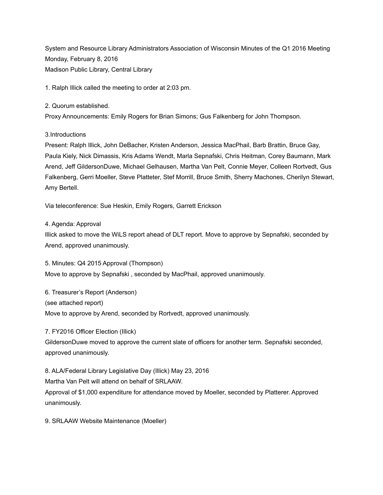System and Resource Library Administrators Association of Wisconsin Minutes of the Q1 2016 Meeting Monday, February 8, 2016 Madison Public Library, Central Library

1. Ralph Illick called the meeting to order at 2:03 pm.

2. Quorum established.

Proxy Announcements: Emily Rogers for Brian Simons; Gus Falkenberg for John Thompson.

3.Introductions

Present: Ralph Illick, John DeBacher, Kristen Anderson, Jessica MacPhail, Barb Brattin, Bruce Gay, Paula Kiely, Nick Dimassis, Kris Adams Wendt, Marla Sepnafski, Chris Heitman, Corey Baumann, Mark Arend, Jeff GildersonDuwe, Michael Gelhausen, Martha Van Pelt, Connie Meyer, Colleen Rortvedt, Gus Falkenberg, Gerri Moeller, Steve Platteter, Stef Morrill, Bruce Smith, Sherry Machones, Cherilyn Stewart, Amy Bertell.

Via teleconference: Sue Heskin, Emily Rogers, Garrett Erickson

4. Agenda: Approval

Illick asked to move the WiLS report ahead of DLT report. Move to approve by Sepnafski, seconded by Arend, approved unanimously.

5. Minutes: Q4 2015 Approval (Thompson) Move to approve by Sepnafski , seconded by MacPhail, approved unanimously.

6. Treasurer's Report (Anderson) (see attached report) Move to approve by Arend, seconded by Rortvedt, approved unanimously.

7. FY2016 Officer Election (Illick)

GildersonDuwe moved to approve the current slate of officers for another term. Sepnafski seconded, approved unanimously.

8. ALA/Federal Library Legislative Day (Illick) May 23, 2016 Martha Van Pelt will attend on behalf of SRLAAW. Approval of \$1,000 expenditure for attendance moved by Moeller, seconded by Platterer. Approved unanimously.

9. SRLAAW Website Maintenance (Moeller)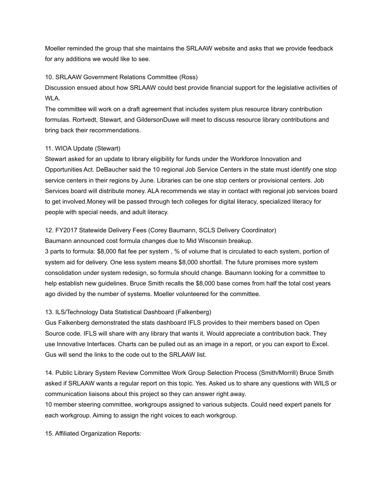Moeller reminded the group that she maintains the SRLAAW website and asks that we provide feedback for any additions we would like to see.

## 10. SRLAAW Government Relations Committee (Ross)

Discussion ensued about how SRLAAW could best provide financial support for the legislative activities of WLA.

The committee will work on a draft agreement that includes system plus resource library contribution formulas. Rortvedt, Stewart, and GildersonDuwe will meet to discuss resource library contributions and bring back their recommendations.

## 11. WIOA Update (Stewart)

Stewart asked for an update to library eligibility for funds under the Workforce Innovation and Opportunities Act. DeBaucher said the 10 regional Job Service Centers in the state must identify one stop service centers in their regions by June. Libraries can be one stop centers or provisional centers. Job Services board will distribute money. ALA recommends we stay in contact with regional job services board to get involved.Money will be passed through tech colleges for digital literacy, specialized literacy for people with special needs, and adult literacy.

## 12. FY2017 Statewide Delivery Fees (Corey Baumann, SCLS Delivery Coordinator)

Baumann announced cost formula changes due to Mid Wisconsin breakup.

3 parts to formula: \$8,000 flat fee per system , % of volume that is circulated to each system, portion of system aid for delivery. One less system means \$8,000 shortfall. The future promises more system consolidation under system redesign, so formula should change. Baumann looking for a committee to help establish new guidelines. Bruce Smith recalls the \$8,000 base comes from half the total cost years ago divided by the number of systems. Moeller volunteered for the committee.

## 13. ILS/Technology Data Statistical Dashboard (Falkenberg)

Gus Falkenberg demonstrated the stats dashboard IFLS provides to their members based on Open Source code. IFLS will share with any library that wants it. Would appreciate a contribution back. They use Innovative Interfaces. Charts can be pulled out as an image in a report, or you can export to Excel. Gus will send the links to the code out to the SRLAAW list.

14. Public Library System Review Committee Work Group Selection Process (Smith/Morrill) Bruce Smith asked if SRLAAW wants a regular report on this topic. Yes. Asked us to share any questions with WILS or communication liaisons about this project so they can answer right away.

10 member steering committee, workgroups assigned to various subjects. Could need expert panels for each workgroup. Aiming to assign the right voices to each workgroup.

15. Affiliated Organization Reports: